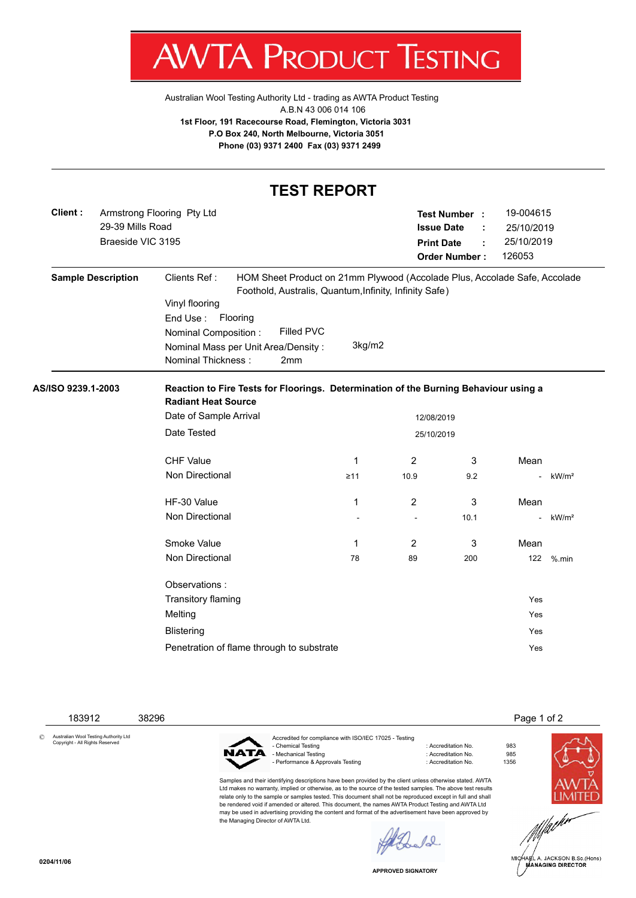V IA ľ 'ROI וו К ESTING

[Australian Wool Testing Authority Ltd - trading as AWTA Product Testing](http://www.awtaproducttesting.com.au/) A.B.N 43 006 014 106 **1st Floor, 191 Racecourse Road, Flemington, Victoria 3031 P.O Box 240, North Melbourne, Victoria 3051 Phone (03) 9371 2400 Fax (03) 9371 2499**

| <b>TEST REPORT</b>                                                             |                           |                                                                                                                                                            |                                                                                                                                                                                                           |           |                                                                                                                                    |      |                          |                   |  |  |  |
|--------------------------------------------------------------------------------|---------------------------|------------------------------------------------------------------------------------------------------------------------------------------------------------|-----------------------------------------------------------------------------------------------------------------------------------------------------------------------------------------------------------|-----------|------------------------------------------------------------------------------------------------------------------------------------|------|--------------------------|-------------------|--|--|--|
| Client:<br>Armstrong Flooring Pty Ltd<br>29-39 Mills Road<br>Braeside VIC 3195 |                           |                                                                                                                                                            |                                                                                                                                                                                                           |           | 19-004615<br>Test Number :<br><b>Issue Date</b><br>25/10/2019<br>25/10/2019<br><b>Print Date</b><br><b>Order Number:</b><br>126053 |      |                          |                   |  |  |  |
|                                                                                | <b>Sample Description</b> | Clients Ref:<br>Vinyl flooring<br>End Use: Flooring<br>Nominal Composition:<br>Nominal Thickness:                                                          | HOM Sheet Product on 21mm Plywood (Accolade Plus, Accolade Safe, Accolade<br>Foothold, Australis, Quantum, Infinity, Infinity Safe)<br>Filled PVC<br>3kg/m2<br>Nominal Mass per Unit Area/Density:<br>2mm |           |                                                                                                                                    |      |                          |                   |  |  |  |
| AS/ISO 9239.1-2003                                                             |                           | Reaction to Fire Tests for Floorings. Determination of the Burning Behaviour using a<br><b>Radiant Heat Source</b><br>Date of Sample Arrival<br>12/08/2019 |                                                                                                                                                                                                           |           |                                                                                                                                    |      |                          |                   |  |  |  |
|                                                                                |                           | Date Tested<br>25/10/2019                                                                                                                                  |                                                                                                                                                                                                           |           |                                                                                                                                    |      |                          |                   |  |  |  |
|                                                                                |                           | <b>CHF Value</b>                                                                                                                                           |                                                                                                                                                                                                           | 1         | 2                                                                                                                                  | 3    | Mean                     |                   |  |  |  |
|                                                                                |                           | Non Directional                                                                                                                                            |                                                                                                                                                                                                           | $\geq 11$ | 10.9                                                                                                                               | 9.2  | $\overline{a}$           | kW/m <sup>2</sup> |  |  |  |
|                                                                                |                           | HF-30 Value                                                                                                                                                |                                                                                                                                                                                                           | 1         | 2                                                                                                                                  | 3    | Mean                     |                   |  |  |  |
|                                                                                |                           | Non Directional                                                                                                                                            |                                                                                                                                                                                                           |           |                                                                                                                                    | 10.1 |                          | kW/m <sup>2</sup> |  |  |  |
|                                                                                |                           | Smoke Value                                                                                                                                                |                                                                                                                                                                                                           | 1         | 2                                                                                                                                  | 3    | Mean                     |                   |  |  |  |
|                                                                                |                           | Non Directional                                                                                                                                            |                                                                                                                                                                                                           | 78        | 89                                                                                                                                 | 200  | 122                      | $%$ .min          |  |  |  |
|                                                                                |                           | Observations:<br>Transitory flaming<br>Melting<br><b>Blistering</b>                                                                                        | Penetration of flame through to substrate                                                                                                                                                                 |           |                                                                                                                                    |      | Yes<br>Yes<br>Yes<br>Yes |                   |  |  |  |
|                                                                                |                           |                                                                                                                                                            |                                                                                                                                                                                                           |           |                                                                                                                                    |      |                          |                   |  |  |  |

183912 38296 Page 1 of 2

© Australian Wool Testing Authority Ltd Copyright - All Rights Reserved



Accredited for compliance with ISO/IEC 17025 - Testing - Mechanical Testing in a state of the control of Accreditation No. 985<br>- Performance & Approvals Testing in the control of Accreditation No. 61356 - Performance & Approvals Testing

Samples and their identifying descriptions have been provided by the client unless otherwise stated. AWTA Ltd makes no warranty, implied or otherwise, as to the source of the tested samples. The above test results relate only to the sample or samples tested. This document shall not be reproduced except in full and shall be rendered void if amended or altered. This document, the names AWTA Product Testing and AWTA Ltd may be used in advertising providing the content and format of the advertisement have been approved by the Managing Director of AWTA Ltd.

: Accreditation No. 983<br>: Accreditation No. 985





.<br>IA∉L A. JACKSON B.Sc.(Hons)<br>MANAGING DIRECTOR

**APPROVED SIGNATORY**

 $\ell$